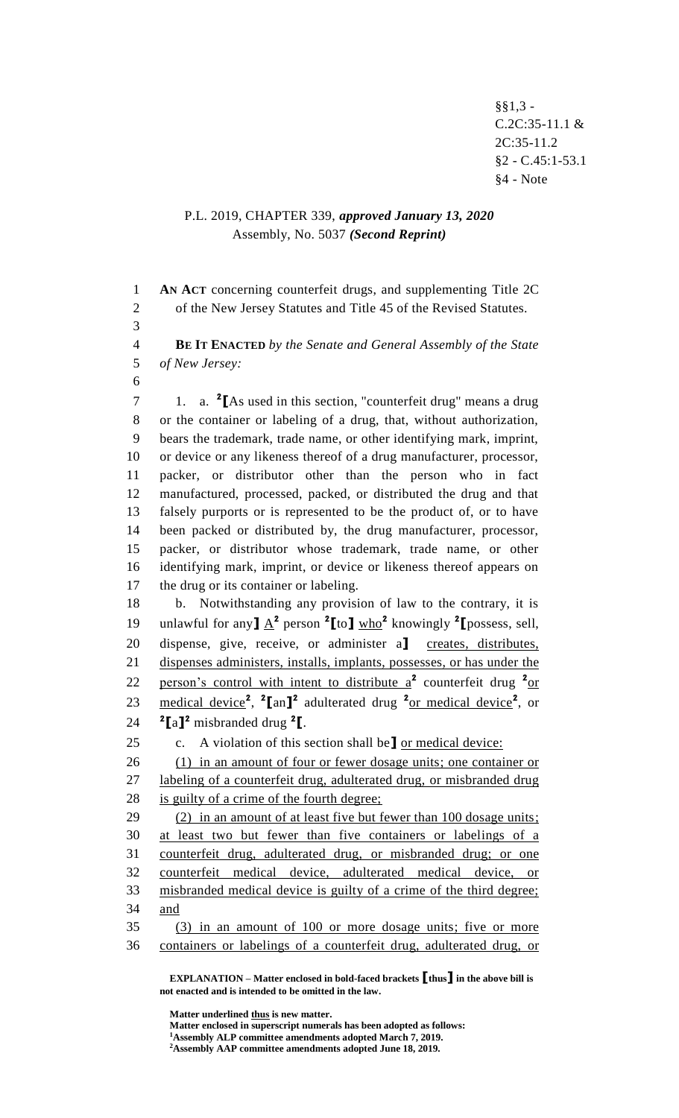§§1,3 - C.2C:35-11.1 &  $2C:35-11.2$ §2 - C.45:1-53.1 §4 - Note

## P.L. 2019, CHAPTER 339, *approved January 13, 2020* Assembly, No. 5037 *(Second Reprint)*

 **AN ACT** concerning counterfeit drugs, and supplementing Title 2C of the New Jersey Statutes and Title 45 of the Revised Statutes. **BE IT ENACTED** *by the Senate and General Assembly of the State of New Jersey:* 1. a. **<sup>2</sup> [**As used in this section, "counterfeit drug" means a drug or the container or labeling of a drug, that, without authorization, bears the trademark, trade name, or other identifying mark, imprint, or device or any likeness thereof of a drug manufacturer, processor, packer, or distributor other than the person who in fact manufactured, processed, packed, or distributed the drug and that falsely purports or is represented to be the product of, or to have been packed or distributed by, the drug manufacturer, processor, packer, or distributor whose trademark, trade name, or other identifying mark, imprint, or device or likeness thereof appears on 17 the drug or its container or labeling. b. Notwithstanding any provision of law to the contrary, it is 19 unlawful for any  $\underline{A}^2$  person  $\frac{2}{\pi}$  to  $\underline{I}$  who<sup>2</sup> knowingly  $\frac{2}{\pi}$  possess, sell, dispense, give, receive, or administer a**]** creates, distributes, dispenses administers, installs, implants, possesses, or has under the 22 person's control with intent to distribute a<sup>2</sup> counterfeit drug <sup>2</sup>or 23 medical device<sup>2</sup>, <sup>2</sup>[an]<sup>2</sup> adulterated drug <sup>2</sup><sub>Or medical device</sub><sup>2</sup>, or  $\text{Z}_{\text{a}}$ <sup>2</sup> misbranded drug <sup>2</sup><sup>[</sup>. c. A violation of this section shall be**]** or medical device: (1) in an amount of four or fewer dosage units; one container or labeling of a counterfeit drug, adulterated drug, or misbranded drug is guilty of a crime of the fourth degree; (2) in an amount of at least five but fewer than 100 dosage units; at least two but fewer than five containers or labelings of a counterfeit drug, adulterated drug, or misbranded drug; or one counterfeit medical device, adulterated medical device, or misbranded medical device is guilty of a crime of the third degree; and (3) in an amount of 100 or more dosage units; five or more containers or labelings of a counterfeit drug, adulterated drug, or

**EXPLANATION – Matter enclosed in bold-faced brackets [thus] in the above bill is not enacted and is intended to be omitted in the law.**

**Matter underlined thus is new matter.**

**Matter enclosed in superscript numerals has been adopted as follows: Assembly ALP committee amendments adopted March 7, 2019.**

**Assembly AAP committee amendments adopted June 18, 2019.**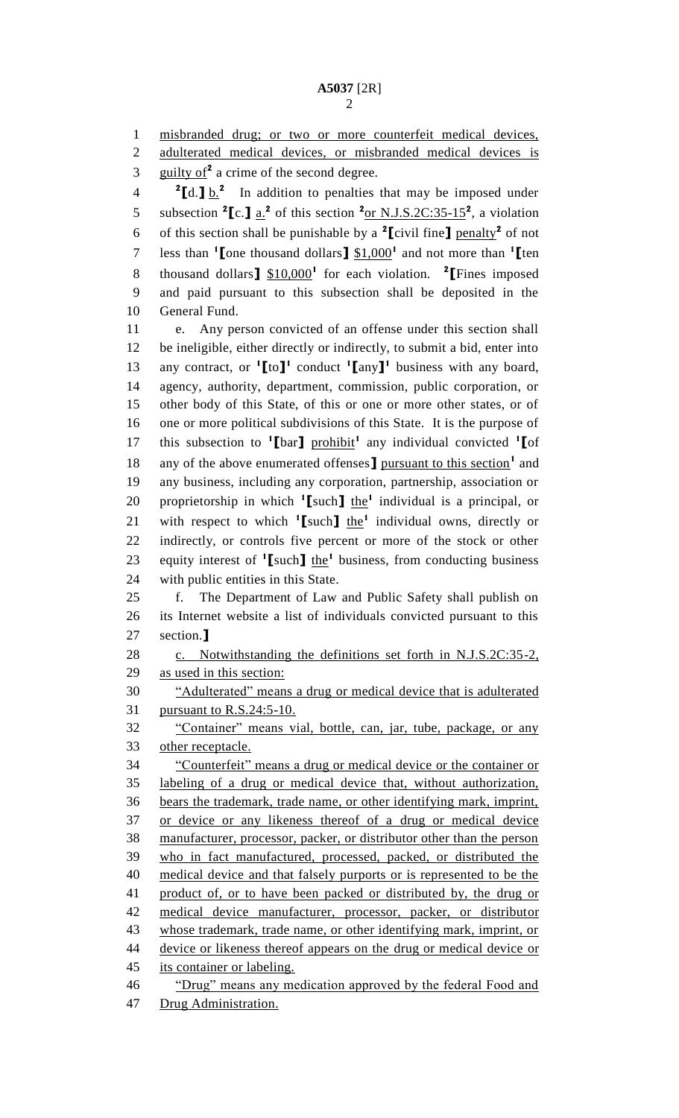misbranded drug; or two or more counterfeit medical devices,

2 adulterated medical devices, or misbranded medical devices is

guilty of<sup>2</sup> a crime of the second degree.

**2**  $\left[ d \cdot \right] \cdot \frac{b}{2}$  In addition to penalties that may be imposed under 5 subsection  ${}^{2}$ [c.]  $\underline{a}^{2}$  of this section  ${}^{2}$ <sub>Of</sub> N.J.S.2C:35-15<sup>2</sup>, a violation 6 of this section shall be punishable by a [civil fine] penalty<sup>2</sup> of not less than **<sup>1</sup> [**one thousand dollars**]** \$1,000**<sup>1</sup>** and not more than **<sup>1</sup> [**ten thousand dollars**]** \$10,000**<sup>1</sup>** for each violation. **<sup>2</sup> [**Fines imposed and paid pursuant to this subsection shall be deposited in the General Fund.

 e. Any person convicted of an offense under this section shall be ineligible, either directly or indirectly, to submit a bid, enter into any contract, or **<sup>1</sup> [**to**] 1** conduct **<sup>1</sup> [**any**] 1** business with any board, agency, authority, department, commission, public corporation, or other body of this State, of this or one or more other states, or of one or more political subdivisions of this State. It is the purpose of 17 this subsection to <sup>1</sup>[bar] prohibit<sup>1</sup> any individual convicted <sup>1</sup>[of 18 any of the above enumerated offenses **]** pursuant to this section<sup>1</sup> and any business, including any corporation, partnership, association or 20 proprietorship in which  $\binom{1}{k}$  and  $\binom{1}{k}$  individual is a principal, or 21 with respect to which <sup>1</sup>[such] the<sup>1</sup> individual owns, directly or indirectly, or controls five percent or more of the stock or other 23 equity interest of  $^1$ [such] the<sup>1</sup> business, from conducting business with public entities in this State.

 f. The Department of Law and Public Safety shall publish on its Internet website a list of individuals convicted pursuant to this section.**]**

28 c. Notwithstanding the definitions set forth in N.J.S.2C:35-2, as used in this section:

 "Adulterated" means a drug or medical device that is adulterated pursuant to R.S.24:5-10.

 "Container" means vial, bottle, can, jar, tube, package, or any other receptacle.

 "Counterfeit" means a drug or medical device or the container or labeling of a drug or medical device that, without authorization, bears the trademark, trade name, or other identifying mark, imprint, or device or any likeness thereof of a drug or medical device manufacturer, processor, packer, or distributor other than the person who in fact manufactured, processed, packed, or distributed the medical device and that falsely purports or is represented to be the product of, or to have been packed or distributed by, the drug or medical device manufacturer, processor, packer, or distributor whose trademark, trade name, or other identifying mark, imprint, or device or likeness thereof appears on the drug or medical device or its container or labeling.

Drug Administration.

"Drug" means any medication approved by the federal Food and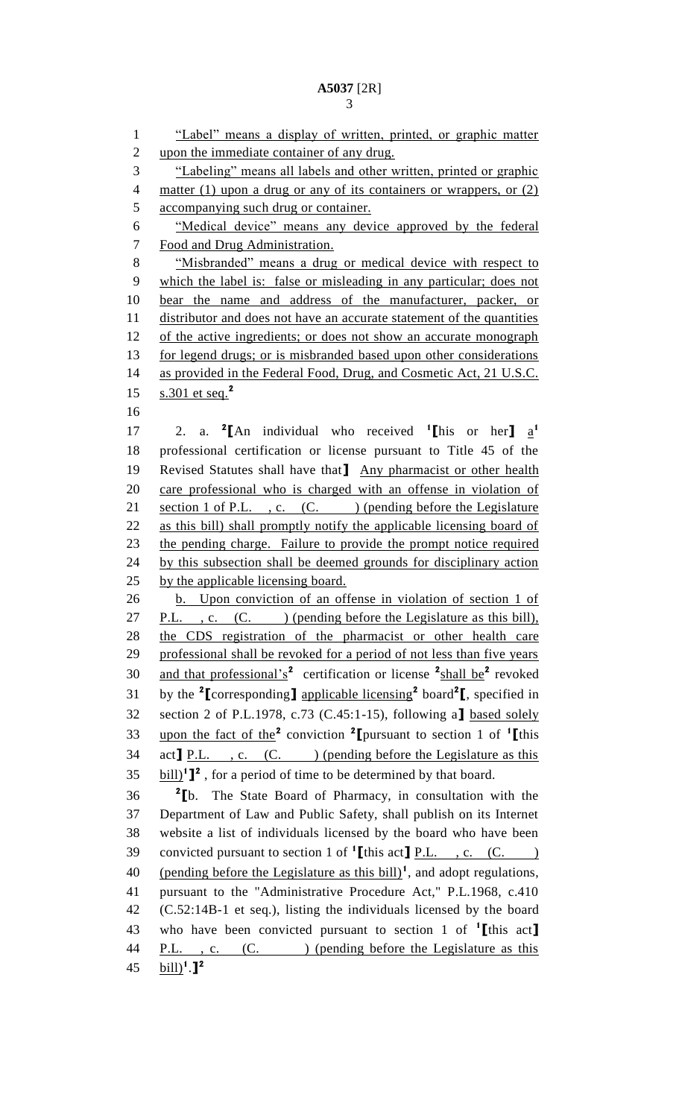"Label" means a display of written, printed, or graphic matter 2 upon the immediate container of any drug. "Labeling" means all labels and other written, printed or graphic 4 matter (1) upon a drug or any of its containers or wrappers, or (2) accompanying such drug or container. "Medical device" means any device approved by the federal Food and Drug Administration. "Misbranded" means a drug or medical device with respect to which the label is: false or misleading in any particular; does not bear the name and address of the manufacturer, packer, or distributor and does not have an accurate statement of the quantities 12 of the active ingredients; or does not show an accurate monograph 13 for legend drugs; or is misbranded based upon other considerations 14 as provided in the Federal Food, Drug, and Cosmetic Act, 21 U.S.C. s.301 et seq.**<sup>2</sup>** 17 2. a. <sup>2</sup>[An individual who received <sup>1</sup>[his or her]  $a^1$  professional certification or license pursuant to Title 45 of the Revised Statutes shall have that**]** Any pharmacist or other health care professional who is charged with an offense in violation of 21 section 1 of P.L., c.  $(C.$  ) (pending before the Legislature as this bill) shall promptly notify the applicable licensing board of the pending charge. Failure to provide the prompt notice required 24 by this subsection shall be deemed grounds for disciplinary action by the applicable licensing board. b. Upon conviction of an offense in violation of section 1 of 27 P.L., c. (C. ) (pending before the Legislature as this bill), 28 the CDS registration of the pharmacist or other health care professional shall be revoked for a period of not less than five years 30 and that professional's<sup>2</sup> certification or license <sup>2</sup>shall be<sup>2</sup> revoked by the **<sup>2</sup> [**corresponding**]** applicable licensing**<sup>2</sup>** board**<sup>2</sup> [**, specified in section 2 of P.L.1978, c.73 (C.45:1-15), following a**]** based solely upon the fact of the**<sup>2</sup>** conviction **<sup>2</sup> [**pursuant to section 1 of **<sup>1</sup> [**this 34 act**]** P.L. , c. (C. ) (pending before the Legislature as this  $35 \text{ bill}$ <sup>1</sup><sup>2</sup>, for a period of time to be determined by that board. **2 [**b. The State Board of Pharmacy, in consultation with the Department of Law and Public Safety, shall publish on its Internet website a list of individuals licensed by the board who have been convicted pursuant to section 1 of **<sup>1</sup> [**this act**]** P.L. , c. (C. ) 40 (pending before the Legislature as this bill)<sup>1</sup>, and adopt regulations, pursuant to the "Administrative Procedure Act," P.L.1968, c.410 (C.52:14B-1 et seq.), listing the individuals licensed by the board who have been convicted pursuant to section 1 of **<sup>1</sup> [**this act**]** 44 P.L., c. (C. ) (pending before the Legislature as this bill)**<sup>1</sup>** .**] 2**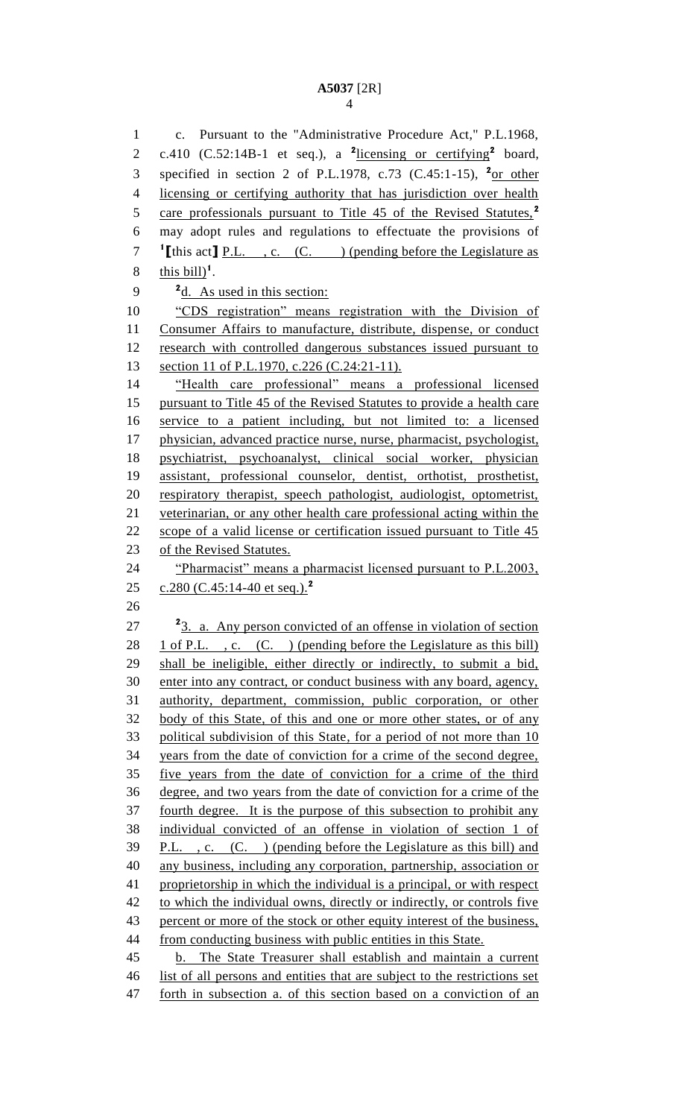c. Pursuant to the "Administrative Procedure Act," P.L.1968, 2 c.410 (C.52:14B-1 et seq.), a <sup>2</sup>licensing or certifying<sup>2</sup> board, 3 specified in section 2 of P.L.1978, c.73 (C.45:1-15), <sup>2</sup>or other licensing or certifying authority that has jurisdiction over health care professionals pursuant to Title 45 of the Revised Statutes,**<sup>2</sup>** may adopt rules and regulations to effectuate the provisions of **[**this act**]** P.L. , c. (C. ) (pending before the Legislature as  $\frac{\text{this bill}}{\text{this bill}}$ <sup>1</sup>.  $\frac{2d}{dx}$  As used in this section: "CDS registration" means registration with the Division of Consumer Affairs to manufacture, distribute, dispense, or conduct research with controlled dangerous substances issued pursuant to 13 section 11 of P.L.1970, c.226 (C.24:21-11). "Health care professional" means a professional licensed pursuant to Title 45 of the Revised Statutes to provide a health care service to a patient including, but not limited to: a licensed physician, advanced practice nurse, nurse, pharmacist, psychologist, psychiatrist, psychoanalyst, clinical social worker, physician assistant, professional counselor, dentist, orthotist, prosthetist, respiratory therapist, speech pathologist, audiologist, optometrist, veterinarian, or any other health care professional acting within the 22 scope of a valid license or certification issued pursuant to Title 45 of the Revised Statutes. "Pharmacist" means a pharmacist licensed pursuant to P.L.2003, c.280 (C.45:14-40 et seq.).**<sup>2</sup>** 27 <sup>2</sup>3. a. Any person convicted of an offense in violation of section 28 1 of P.L., c. (C.) (pending before the Legislature as this bill) shall be ineligible, either directly or indirectly, to submit a bid, enter into any contract, or conduct business with any board, agency, authority, department, commission, public corporation, or other body of this State, of this and one or more other states, or of any political subdivision of this State, for a period of not more than 10 years from the date of conviction for a crime of the second degree, five years from the date of conviction for a crime of the third degree, and two years from the date of conviction for a crime of the fourth degree. It is the purpose of this subsection to prohibit any individual convicted of an offense in violation of section 1 of P.L. , c. (C. ) (pending before the Legislature as this bill) and any business, including any corporation, partnership, association or proprietorship in which the individual is a principal, or with respect 42 to which the individual owns, directly or indirectly, or controls five 43 percent or more of the stock or other equity interest of the business, from conducting business with public entities in this State. b. The State Treasurer shall establish and maintain a current list of all persons and entities that are subject to the restrictions set forth in subsection a. of this section based on a conviction of an